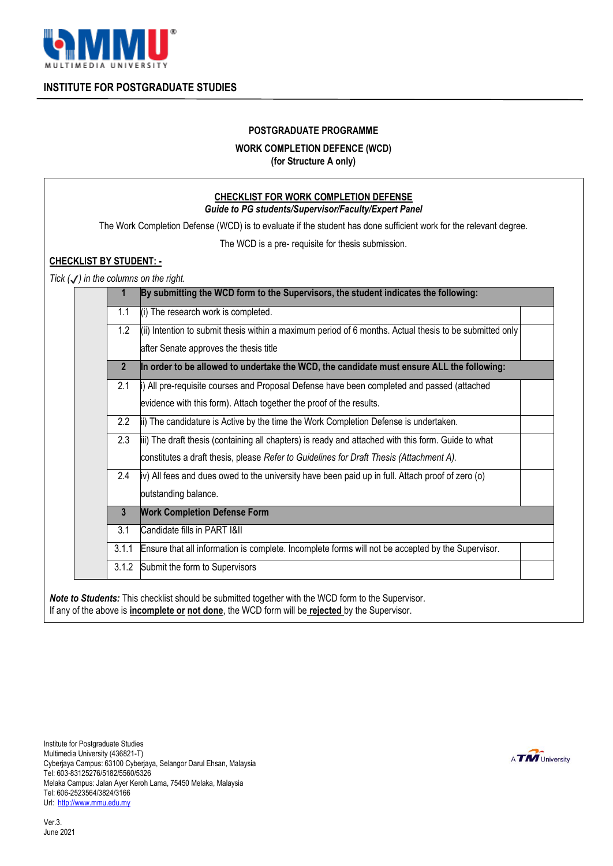

**INSTITUTE FOR POSTGRADUATE STUDIES**

## **POSTGRADUATE PROGRAMME**

## **WORK COMPLETION DEFENCE (WCD)**

**(for Structure A only)**

|                                                  |                                                       | The Work Completion Defense (WCD) is to evaluate if the student has done sufficient work for the relevant degree. |
|--------------------------------------------------|-------------------------------------------------------|-------------------------------------------------------------------------------------------------------------------|
|                                                  |                                                       |                                                                                                                   |
|                                                  |                                                       | The WCD is a pre- requisite for thesis submission.                                                                |
| <b>CHECKLIST BY STUDENT: -</b>                   |                                                       |                                                                                                                   |
| Tick $(\checkmark)$ in the columns on the right. | 1                                                     | By submitting the WCD form to the Supervisors, the student indicates the following:                               |
|                                                  |                                                       |                                                                                                                   |
|                                                  | 1.1                                                   | (i) The research work is completed.                                                                               |
|                                                  | 1.2                                                   | (ii) Intention to submit thesis within a maximum period of 6 months. Actual thesis to be submitted only           |
|                                                  |                                                       | after Senate approves the thesis title                                                                            |
|                                                  | $\overline{2}$                                        | In order to be allowed to undertake the WCD, the candidate must ensure ALL the following:                         |
|                                                  | 2.1                                                   | i) All pre-requisite courses and Proposal Defense have been completed and passed (attached                        |
|                                                  |                                                       | evidence with this form). Attach together the proof of the results.                                               |
|                                                  | 2.2                                                   | ii) The candidature is Active by the time the Work Completion Defense is undertaken.                              |
|                                                  | 2.3                                                   | iii) The draft thesis (containing all chapters) is ready and attached with this form. Guide to what               |
|                                                  |                                                       | constitutes a draft thesis, please Refer to Guidelines for Draft Thesis (Attachment A).                           |
|                                                  | 2.4                                                   | iv) All fees and dues owed to the university have been paid up in full. Attach proof of zero (o)                  |
|                                                  |                                                       | outstanding balance.                                                                                              |
|                                                  | <b>Work Completion Defense Form</b><br>$\overline{3}$ |                                                                                                                   |
|                                                  | 3.1                                                   | Candidate fills in PART I&II                                                                                      |
|                                                  | 3.1.1                                                 | Ensure that all information is complete. Incomplete forms will not be accepted by the Supervisor.                 |
|                                                  | 3.1.2                                                 | Submit the form to Supervisors                                                                                    |

*Note to Students:* This checklist should be submitted together with the WCD form to the Supervisor*.* If any of the above is **incomplete or not done**, the WCD form will be **rejected** by the Supervisor.

Institute for Postgraduate Studies Multimedia University (436821-T) Cyberjaya Campus: 63100 Cyberjaya, Selangor Darul Ehsan, Malaysia Tel: 603-83125276/5182/5560/5326 Melaka Campus: Jalan Ayer Keroh Lama, 75450 Melaka, Malaysia Tel: 606-2523564/3824/3166 Url: [http://www.mmu.edu.my](http://www.mmu.edu.my/)

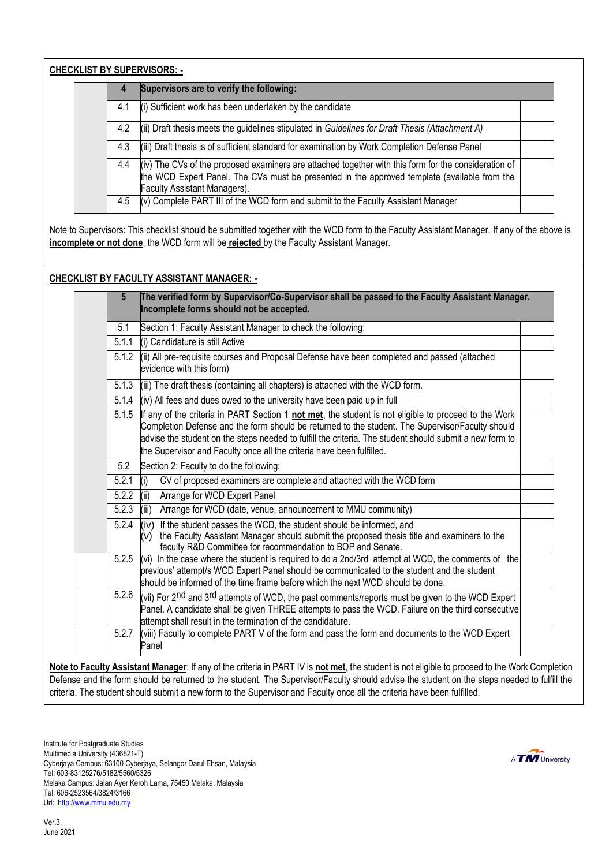**CHECKLIST BY SUPERVISORS: -**

| 4   | Supervisors are to verify the following:                                                                                                                                                                                                    |  |
|-----|---------------------------------------------------------------------------------------------------------------------------------------------------------------------------------------------------------------------------------------------|--|
| 4.1 | (i) Sufficient work has been undertaken by the candidate                                                                                                                                                                                    |  |
| 4.2 | (ii) Draft thesis meets the guidelines stipulated in Guidelines for Draft Thesis (Attachment A)                                                                                                                                             |  |
| 4.3 | (iii) Draft thesis is of sufficient standard for examination by Work Completion Defense Panel                                                                                                                                               |  |
| 4.4 | (iv) The CVs of the proposed examiners are attached together with this form for the consideration of<br>the WCD Expert Panel. The CVs must be presented in the approved template (available from the<br><b>Faculty Assistant Managers).</b> |  |
| 4.5 | (v) Complete PART III of the WCD form and submit to the Faculty Assistant Manager                                                                                                                                                           |  |

Note to Supervisors: This checklist should be submitted together with the WCD form to the Faculty Assistant Manager*.* If any of the above is **incomplete or not done**, the WCD form will be **rejected** by the Faculty Assistant Manager.

## **CHECKLIST BY FACULTY ASSISTANT MANAGER: -**

| $5\phantom{.0}$ | The verified form by Supervisor/Co-Supervisor shall be passed to the Faculty Assistant Manager.<br>Incomplete forms should not be accepted.                                                                                                                                                                                                                                                  |  |  |
|-----------------|----------------------------------------------------------------------------------------------------------------------------------------------------------------------------------------------------------------------------------------------------------------------------------------------------------------------------------------------------------------------------------------------|--|--|
| 5.1             | Section 1: Faculty Assistant Manager to check the following:                                                                                                                                                                                                                                                                                                                                 |  |  |
| 5.1.1           | (i) Candidature is still Active                                                                                                                                                                                                                                                                                                                                                              |  |  |
| 5.1.2           | (ii) All pre-requisite courses and Proposal Defense have been completed and passed (attached<br>evidence with this form)                                                                                                                                                                                                                                                                     |  |  |
| 5.1.3           | (iii) The draft thesis (containing all chapters) is attached with the WCD form.                                                                                                                                                                                                                                                                                                              |  |  |
| 5.1.4           | (iv) All fees and dues owed to the university have been paid up in full                                                                                                                                                                                                                                                                                                                      |  |  |
| 5.1.5           | If any of the criteria in PART Section 1 not met, the student is not eligible to proceed to the Work<br>Completion Defense and the form should be returned to the student. The Supervisor/Faculty should<br>advise the student on the steps needed to fulfill the criteria. The student should submit a new form to<br>the Supervisor and Faculty once all the criteria have been fulfilled. |  |  |
| 5.2             | Section 2: Faculty to do the following:                                                                                                                                                                                                                                                                                                                                                      |  |  |
| 5.2.1           | (i)<br>CV of proposed examiners are complete and attached with the WCD form                                                                                                                                                                                                                                                                                                                  |  |  |
| 5.2.2           | (iii)<br>Arrange for WCD Expert Panel                                                                                                                                                                                                                                                                                                                                                        |  |  |
| 5.2.3           | Arrange for WCD (date, venue, announcement to MMU community)<br>(iii)                                                                                                                                                                                                                                                                                                                        |  |  |
| 5.2.4           | $(iv)$ If the student passes the WCD, the student should be informed, and<br>the Faculty Assistant Manager should submit the proposed thesis title and examiners to the<br>(v)<br>faculty R&D Committee for recommendation to BOP and Senate.                                                                                                                                                |  |  |
| 5.2.5           | (vi) In the case where the student is required to do a 2nd/3rd attempt at WCD, the comments of the<br>previous' attempt/s WCD Expert Panel should be communicated to the student and the student<br>should be informed of the time frame before which the next WCD should be done.                                                                                                           |  |  |
| 5.2.6           | (vii) For 2 <sup>nd</sup> and 3 <sup>rd</sup> attempts of WCD, the past comments/reports must be given to the WCD Expert<br>Panel. A candidate shall be given THREE attempts to pass the WCD. Failure on the third consecutive<br>attempt shall result in the termination of the candidature.                                                                                                |  |  |
| 5.2.7           | (viii) Faculty to complete PART V of the form and pass the form and documents to the WCD Expert<br>Panel                                                                                                                                                                                                                                                                                     |  |  |

**Note to Faculty Assistant Manager**: If any of the criteria in PART IV is **not met**, the student is not eligible to proceed to the Work Completion Defense and the form should be returned to the student. The Supervisor/Faculty should advise the student on the steps needed to fulfill the criteria. The student should submit a new form to the Supervisor and Faculty once all the criteria have been fulfilled.

Institute for Postgraduate Studies Multimedia University (436821-T) Cyberjaya Campus: 63100 Cyberjaya, Selangor Darul Ehsan, Malaysia Tel: 603-83125276/5182/5560/5326 Melaka Campus: Jalan Ayer Keroh Lama, 75450 Melaka, Malaysia Tel: 606-2523564/3824/3166 Url: [http://www.mmu.edu.my](http://www.mmu.edu.my/)

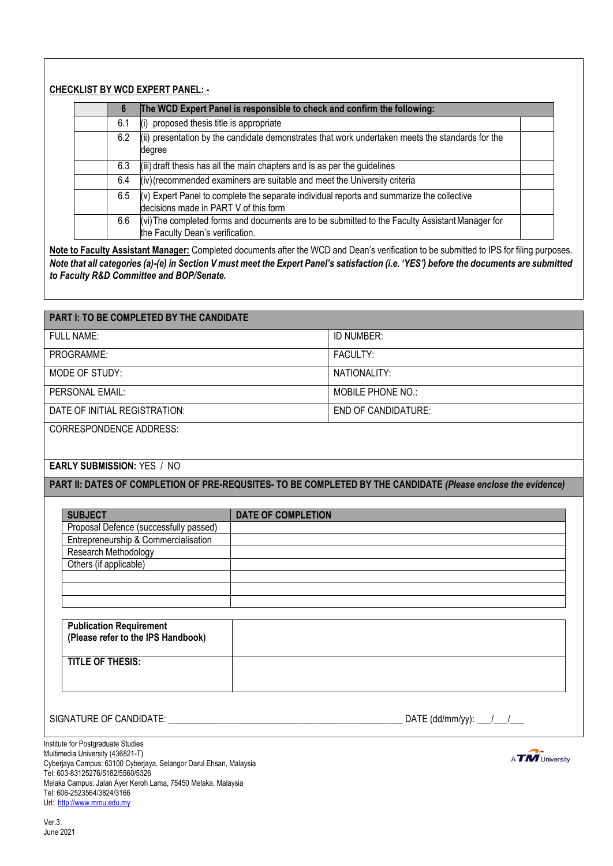## **CHECKLIST BY WCD EXPERT PANEL: -**

| 6   | The WCD Expert Panel is responsible to check and confirm the following:                                                              |
|-----|--------------------------------------------------------------------------------------------------------------------------------------|
| 6.1 | (i) proposed thesis title is appropriate                                                                                             |
| 6.2 | (ii) presentation by the candidate demonstrates that work undertaken meets the standards for the<br>degree                           |
| 6.3 | (iii) draft thesis has all the main chapters and is as per the guidelines                                                            |
| 6.4 | (iv) (recommended examiners are suitable and meet the University criteria                                                            |
| 6.5 | $(v)$ Expert Panel to complete the separate individual reports and summarize the collective<br>decisions made in PART V of this form |
| 6.6 | (vi) The completed forms and documents are to be submitted to the Faculty Assistant Manager for<br>the Faculty Dean's verification.  |

**Note to Faculty Assistant Manager:** Completed documents after the WCD and Dean's verification to be submitted to IPS for filing purposes. *Note that all categories (a)-(e) in Section V must meet the Expert Panel's satisfaction (i.e. 'YES') before the documents are submitted to Faculty R&D Committee and BOP/Senate.*

# **PART I: TO BE COMPLETED BY THE CANDIDATE**  FULL NAME: ID NUMBER: PROGRAMME:  $\qquad \qquad$  FACULTY: MODE OF STUDY: NATIONALITY: PERSONAL EMAIL: NORTH THE MOBILE PHONE NO.: DATE OF INITIAL REGISTRATION:  $\vert$  END OF CANDIDATURE: CORRESPONDENCE ADDRESS:

## **EARLY SUBMISSION:** YES / NO

**PART II: DATES OF COMPLETION OF PRE-REQUSITES- TO BE COMPLETED BY THE CANDIDATE** *(Please enclose the evidence)*

| <b>SUBJECT</b>                         | <b>DATE OF COMPLETION</b> |
|----------------------------------------|---------------------------|
| Proposal Defence (successfully passed) |                           |
| Entrepreneurship & Commercialisation   |                           |
| Research Methodology                   |                           |
| Others (if applicable)                 |                           |
|                                        |                           |
|                                        |                           |
|                                        |                           |

| <b>Publication Requirement</b><br>(Please refer to the IPS Handbook) |  |
|----------------------------------------------------------------------|--|
| <b>TITLE OF THESIS:</b>                                              |  |

SIGNATURE OF CANDIDATE:  $\frac{1}{2}$   $\frac{1}{2}$   $\frac{1}{2}$   $\frac{1}{2}$   $\frac{1}{2}$   $\frac{1}{2}$   $\frac{1}{2}$   $\frac{1}{2}$   $\frac{1}{2}$   $\frac{1}{2}$   $\frac{1}{2}$   $\frac{1}{2}$   $\frac{1}{2}$   $\frac{1}{2}$   $\frac{1}{2}$   $\frac{1}{2}$   $\frac{1}{2}$   $\frac{1}{2}$   $\frac{1}{2}$   $\frac{1}{2$ 

Institute for Postgraduate Studies Multimedia University (436821-T) Cyberjaya Campus: 63100 Cyberjaya, Selangor Darul Ehsan, Malaysia Tel: 603-83125276/5182/5560/5326 Melaka Campus: Jalan Ayer Keroh Lama, 75450 Melaka, Malaysia Tel: 606-2523564/3824/3166 Url: [http://www.mmu.edu.my](http://www.mmu.edu.my/)

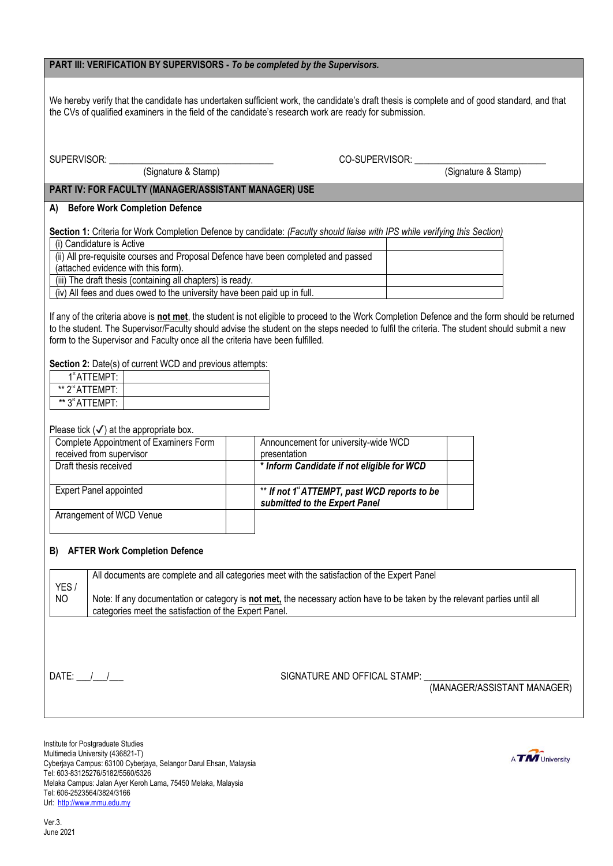### **PART III: VERIFICATION BY SUPERVISORS -** *To be completed by the Supervisors.*

We hereby verify that the candidate has undertaken sufficient work, the candidate's draft thesis is complete and of good standard, and that the CVs of qualified examiners in the field of the candidate's research work are ready for submission.

SUPERVISOR: \_\_\_\_\_\_\_\_\_\_\_\_\_\_\_\_\_\_\_\_\_\_\_\_\_\_\_\_\_\_\_\_\_\_\_ CO-SUPERVISOR: \_\_\_\_\_\_\_\_\_\_\_\_\_\_\_\_\_\_\_\_\_\_\_\_\_\_\_\_

(Signature & Stamp) (Signature & Stamp)

## **PART IV: FOR FACULTY (MANAGER/ASSISTANT MANAGER) USE**

### **A) Before Work Completion Defence**

**Section 1:** Criteria for Work Completion Defence by candidate: *(Faculty should liaise with IPS while verifying this Section)*

| (i) Candidature is Active                                                          |  |
|------------------------------------------------------------------------------------|--|
| (ii) All pre-requisite courses and Proposal Defence have been completed and passed |  |
| (attached evidence with this form).                                                |  |
| (iii) The draft thesis (containing all chapters) is ready.                         |  |
| (iv) All fees and dues owed to the university have been paid up in full.           |  |

If any of the criteria above is **not met**, the student is not eligible to proceed to the Work Completion Defence and the form should be returned to the student. The Supervisor/Faculty should advise the student on the steps needed to fulfil the criteria. The student should submit a new form to the Supervisor and Faculty once all the criteria have been fulfilled.

**Section 2:** Date(s) of current WCD and previous attempts:

| 1 <sup>st</sup> ATTEMPT:                |  |
|-----------------------------------------|--|
| ** 2 <sup>nd</sup> ATTFMPT <sup>.</sup> |  |
| ** 3 <sup>rd</sup> ATTEMPT:             |  |

Please tick  $(\checkmark)$  at the appropriate box.

| Complete Appointment of Examiners Form<br>received from supervisor | Announcement for university-wide WCD<br>presentation                          |  |
|--------------------------------------------------------------------|-------------------------------------------------------------------------------|--|
| Draft thesis received                                              | * Inform Candidate if not eligible for WCD                                    |  |
| <b>Expert Panel appointed</b>                                      | ** If not 1" ATTEMPT, past WCD reports to be<br>submitted to the Expert Panel |  |
| Arrangement of WCD Venue                                           |                                                                               |  |

#### **B) AFTER Work Completion Defence**

| YES/<br>NO. | All documents are complete and all categories meet with the satisfaction of the Expert Panel<br>Note: If any documentation or category is not met, the necessary action have to be taken by the relevant parties until all<br>categories meet the satisfaction of the Expert Panel. |                              |                             |
|-------------|-------------------------------------------------------------------------------------------------------------------------------------------------------------------------------------------------------------------------------------------------------------------------------------|------------------------------|-----------------------------|
|             | DATE: / /                                                                                                                                                                                                                                                                           | SIGNATURE AND OFFICAL STAMP: | (MANAGER/ASSISTANT MANAGER) |

Institute for Postgraduate Studies Multimedia University (436821-T) Cyberjaya Campus: 63100 Cyberjaya, Selangor Darul Ehsan, Malaysia Tel: 603-83125276/5182/5560/5326 Melaka Campus: Jalan Ayer Keroh Lama, 75450 Melaka, Malaysia Tel: 606-2523564/3824/3166 Url: [http://www.mmu.edu.my](http://www.mmu.edu.my/)

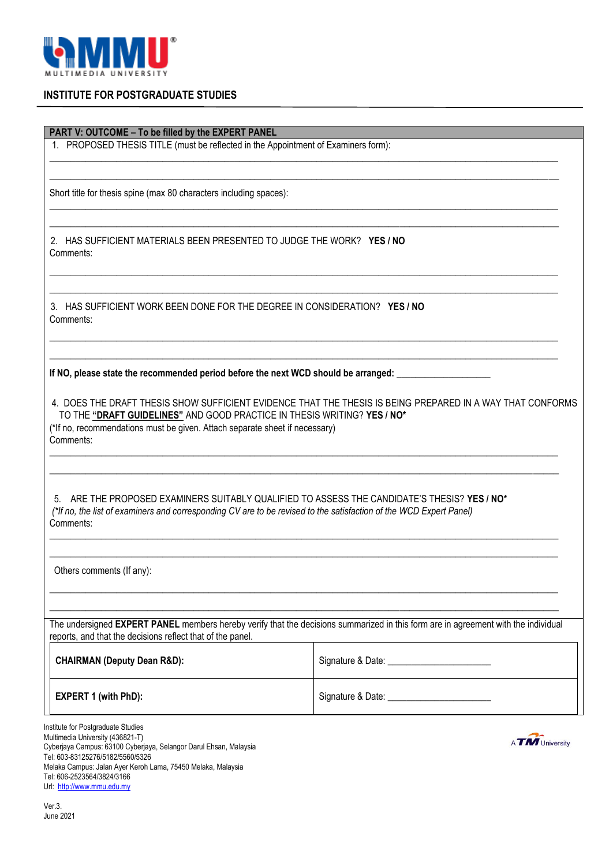

## **INSTITUTE FOR POSTGRADUATE STUDIES**

**PART V: OUTCOME – To be filled by the EXPERT PANEL**

1. PROPOSED THESIS TITLE (must be reflected in the Appointment of Examiners form):

Short title for thesis spine (max 80 characters including spaces):

2. HAS SUFFICIENT MATERIALS BEEN PRESENTED TO JUDGE THE WORK? **YES / NO** Comments:

3. HAS SUFFICIENT WORK BEEN DONE FOR THE DEGREE IN CONSIDERATION? **YES / NO** Comments:

If NO, please state the recommended period before the next WCD should be arranged:

4. DOES THE DRAFT THESIS SHOW SUFFICIENT EVIDENCE THAT THE THESIS IS BEING PREPARED IN A WAY THAT CONFORMS TO THE **"DRAFT GUIDELINES"** AND GOOD PRACTICE IN THESIS WRITING? **YES / NO\*** (\*If no, recommendations must be given. Attach separate sheet if necessary) Comments:

\_\_\_\_\_\_\_\_\_\_\_\_\_\_\_\_\_\_\_\_\_\_\_\_\_\_\_\_\_\_\_\_\_\_\_\_\_\_\_\_\_\_\_\_\_\_\_\_\_\_\_\_\_\_\_\_\_\_\_\_\_\_\_\_\_\_\_\_\_\_\_\_\_\_\_\_\_\_\_\_\_\_\_\_\_\_\_\_\_\_\_\_\_\_\_\_\_\_\_ \_\_\_\_\_\_\_\_\_\_\_\_\_\_\_\_\_\_\_\_\_\_\_\_\_\_\_\_\_\_\_\_\_\_\_\_\_\_\_\_\_\_\_\_\_\_\_\_\_\_\_\_\_\_\_\_\_\_\_\_\_\_\_\_\_\_\_\_\_\_\_\_\_\_\_\_\_\_\_\_\_\_\_\_\_\_\_\_\_\_\_\_\_\_\_\_\_\_\_

\_\_\_\_\_\_\_\_\_\_\_\_\_\_\_\_\_\_\_\_\_\_\_\_\_\_\_\_\_\_\_\_\_\_\_\_\_\_\_\_\_\_\_\_\_\_\_\_\_\_\_\_\_\_\_\_\_\_\_\_\_\_\_\_\_\_\_\_\_\_\_\_\_\_\_\_\_\_\_\_\_\_\_\_\_\_\_\_\_\_\_\_\_\_\_\_\_\_\_ \_\_\_\_\_\_\_\_\_\_\_\_\_\_\_\_\_\_\_\_\_\_\_\_\_\_\_\_\_\_\_\_\_\_\_\_\_\_\_\_\_\_\_\_\_\_\_\_\_\_\_\_\_\_\_\_\_\_\_\_\_\_\_\_\_\_\_\_\_\_\_\_\_\_\_\_\_\_\_\_\_\_\_\_\_\_\_\_\_\_\_\_\_\_\_\_\_\_\_

\_\_\_\_\_\_\_\_\_\_\_\_\_\_\_\_\_\_\_\_\_\_\_\_\_\_\_\_\_\_\_\_\_\_\_\_\_\_\_\_\_\_\_\_\_\_\_\_\_\_\_\_\_\_\_\_\_\_\_\_\_\_\_\_\_\_\_\_\_\_\_\_\_\_\_\_\_\_\_\_\_\_\_\_\_\_\_\_\_\_\_\_\_\_\_\_\_\_\_ \_\_\_\_\_\_\_\_\_\_\_\_\_\_\_\_\_\_\_\_\_\_\_\_\_\_\_\_\_\_\_\_\_\_\_\_\_\_\_\_\_\_\_\_\_\_\_\_\_\_\_\_\_\_\_\_\_\_\_\_\_\_\_\_\_\_\_\_\_\_\_\_\_\_\_\_\_\_\_\_\_\_\_\_\_\_\_\_\_\_\_\_\_\_\_\_\_\_\_

\_\_\_\_\_\_\_\_\_\_\_\_\_\_\_\_\_\_\_\_\_\_\_\_\_\_\_\_\_\_\_\_\_\_\_\_\_\_\_\_\_\_\_\_\_\_\_\_\_\_\_\_\_\_\_\_\_\_\_\_\_\_\_\_\_\_\_\_\_\_\_\_\_\_\_\_\_\_\_\_\_\_\_\_\_\_\_\_\_\_\_\_\_\_\_\_\_\_\_ \_\_\_\_\_\_\_\_\_\_\_\_\_\_\_\_\_\_\_\_\_\_\_\_\_\_\_\_\_\_\_\_\_\_\_\_\_\_\_\_\_\_\_\_\_\_\_\_\_\_\_\_\_\_\_\_\_\_\_\_\_\_\_\_\_\_\_\_\_\_\_\_\_\_\_\_\_\_\_\_\_\_\_\_\_\_\_\_\_\_\_\_\_\_\_\_\_\_\_

\_\_\_\_\_\_\_\_\_\_\_\_\_\_\_\_\_\_\_\_\_\_\_\_\_\_\_\_\_\_\_\_\_\_\_\_\_\_\_\_\_\_\_\_\_\_\_\_\_\_\_\_\_\_\_\_\_\_\_\_\_\_\_\_\_\_\_\_\_\_\_\_\_\_\_\_\_\_\_\_\_\_\_\_\_\_\_\_\_\_\_\_\_\_\_\_\_\_\_ \_\_\_\_\_\_\_\_\_\_\_\_\_\_\_\_\_\_\_\_\_\_\_\_\_\_\_\_\_\_\_\_\_\_\_\_\_\_\_\_\_\_\_\_\_\_\_\_\_\_\_\_\_\_\_\_\_\_\_\_\_\_\_\_\_\_\_\_\_\_\_\_\_\_\_\_\_\_\_\_\_\_\_\_\_\_\_\_\_\_\_\_\_\_\_\_\_\_\_

\_\_\_\_\_\_\_\_\_\_\_\_\_\_\_\_\_\_\_\_\_\_\_\_\_\_\_\_\_\_\_\_\_\_\_\_\_\_\_\_\_\_\_\_\_\_\_\_\_\_\_\_\_\_\_\_\_\_\_\_\_\_\_\_\_\_\_\_\_\_\_\_\_\_\_\_\_\_\_\_\_\_\_\_\_\_\_\_\_\_\_\_\_\_\_\_\_\_\_ \_\_\_\_\_\_\_\_\_\_\_\_\_\_\_\_\_\_\_\_\_\_\_\_\_\_\_\_\_\_\_\_\_\_\_\_\_\_\_\_\_\_\_\_\_\_\_\_\_\_\_\_\_\_\_\_\_\_\_\_\_\_\_\_\_\_\_\_\_\_\_\_\_\_\_\_\_\_\_\_\_\_\_\_\_\_\_\_\_\_\_\_\_\_\_\_\_\_\_

\_\_\_\_\_\_\_\_\_\_\_\_\_\_\_\_\_\_\_\_\_\_\_\_\_\_\_\_\_\_\_\_\_\_\_\_\_\_\_\_\_\_\_\_\_\_\_\_\_\_\_\_\_\_\_\_\_\_\_\_\_\_\_\_\_\_\_\_\_\_\_\_\_\_\_\_\_\_\_\_\_\_\_\_\_\_\_\_\_\_\_\_\_\_\_\_\_\_\_ \_\_\_\_\_\_\_\_\_\_\_\_\_\_\_\_\_\_\_\_\_\_\_\_\_\_\_\_\_\_\_\_\_\_\_\_\_\_\_\_\_\_\_\_\_\_\_\_\_\_\_\_\_\_\_\_\_\_\_\_\_\_\_\_\_\_\_\_\_\_\_\_\_\_\_\_\_\_\_\_\_\_\_\_\_\_\_\_\_\_\_\_\_\_\_\_\_\_\_

5. ARE THE PROPOSED EXAMINERS SUITABLY QUALIFIED TO ASSESS THE CANDIDATE'S THESIS? **YES / NO\***  *(\*If no, the list of examiners and corresponding CV are to be revised to the satisfaction of the WCD Expert Panel)* Comments:

Others comments (If any):

The undersigned **EXPERT PANEL** members hereby verify that the decisions summarized in this form are in agreement with the individual reports, and that the decisions reflect that of the panel.

| <b>CHAIRMAN (Deputy Dean R&amp;D):</b> | Signature & Date: |
|----------------------------------------|-------------------|
| <b>EXPERT 1 (with PhD):</b>            | Signature & Date: |

Institute for Postgraduate Studies Multimedia University (436821-T) Cyberjaya Campus: 63100 Cyberjaya, Selangor Darul Ehsan, Malaysia Tel: 603-83125276/5182/5560/5326 Melaka Campus: Jalan Ayer Keroh Lama, 75450 Melaka, Malaysia Tel: 606-2523564/3824/3166 Url: [http://www.mmu.edu.my](http://www.mmu.edu.my/)



Ver.3. June 2021